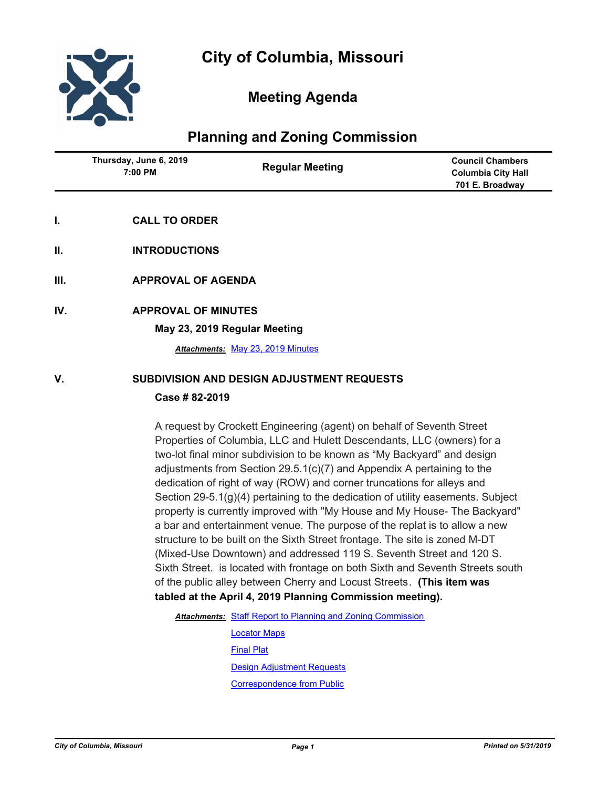

# **Meeting Agenda**

# **Planning and Zoning Commission**

| Thursday, June 6, 2019<br>7:00 PM | <b>Regular Meeting</b> | <b>Council Chambers</b><br><b>Columbia City Hall</b><br>701 E. Broadway |
|-----------------------------------|------------------------|-------------------------------------------------------------------------|
|                                   |                        |                                                                         |

- **I. CALL TO ORDER**
- **II. INTRODUCTIONS**
- **III. APPROVAL OF AGENDA**
- **IV. APPROVAL OF MINUTES**

**May 23, 2019 Regular Meeting**

*Attachments:* [May 23, 2019 Minutes](http://gocolumbiamo.legistar.com/gateway.aspx?M=F&ID=250fe7ca-e068-44be-b762-1636f332ea21.docx)

#### **V. SUBDIVISION AND DESIGN ADJUSTMENT REQUESTS**

#### **Case # 82-2019**

A request by Crockett Engineering (agent) on behalf of Seventh Street Properties of Columbia, LLC and Hulett Descendants, LLC (owners) for a two-lot final minor subdivision to be known as "My Backyard" and design adjustments from Section 29.5.1(c)(7) and Appendix A pertaining to the dedication of right of way (ROW) and corner truncations for alleys and Section 29-5.1(g)(4) pertaining to the dedication of utility easements. Subject property is currently improved with "My House and My House- The Backyard" a bar and entertainment venue. The purpose of the replat is to allow a new structure to be built on the Sixth Street frontage. The site is zoned M-DT (Mixed-Use Downtown) and addressed 119 S. Seventh Street and 120 S. Sixth Street. is located with frontage on both Sixth and Seventh Streets south of the public alley between Cherry and Locust Streets. **(This item was tabled at the April 4, 2019 Planning Commission meeting).** 

Attachments: [Staff Report to Planning and Zoning Commission](http://gocolumbiamo.legistar.com/gateway.aspx?M=F&ID=796ff4cf-f73d-4a3c-bb86-cce8736bcf19.docx)

[Locator Maps](http://gocolumbiamo.legistar.com/gateway.aspx?M=F&ID=48574660-406d-4b46-b304-6c334cb66a74.pdf) [Final Plat](http://gocolumbiamo.legistar.com/gateway.aspx?M=F&ID=1b82a56c-c50c-485b-992c-6938c9311f53.pdf) [Design Adjustment Requests](http://gocolumbiamo.legistar.com/gateway.aspx?M=F&ID=d242a186-9a21-464f-93c9-f34b3c638edc.pdf) [Correspondence from Public](http://gocolumbiamo.legistar.com/gateway.aspx?M=F&ID=1515be41-102e-445e-827d-6bec47d5c44e.pdf)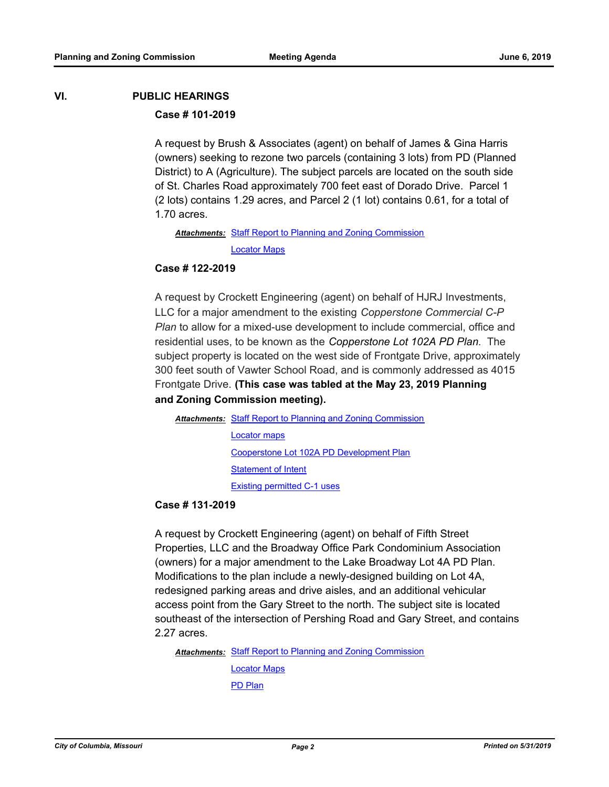# **VI. PUBLIC HEARINGS**

### **Case # 101-2019**

A request by Brush & Associates (agent) on behalf of James & Gina Harris (owners) seeking to rezone two parcels (containing 3 lots) from PD (Planned District) to A (Agriculture). The subject parcels are located on the south side of St. Charles Road approximately 700 feet east of Dorado Drive. Parcel 1 (2 lots) contains 1.29 acres, and Parcel 2 (1 lot) contains 0.61, for a total of 1.70 acres.

Attachments: [Staff Report to Planning and Zoning Commission](http://gocolumbiamo.legistar.com/gateway.aspx?M=F&ID=674db6c8-f895-46f7-89d2-3be9ea48cdab.docx) [Locator Maps](http://gocolumbiamo.legistar.com/gateway.aspx?M=F&ID=e9c1490f-738c-4ff5-b34e-5954a24790b7.pdf)

#### **Case # 122-2019**

A request by Crockett Engineering (agent) on behalf of HJRJ Investments, LLC for a major amendment to the existing *Copperstone Commercial C-P Plan* to allow for a mixed-use development to include commercial, office and residential uses, to be known as the *Copperstone Lot 102A PD Plan*. The subject property is located on the west side of Frontgate Drive, approximately 300 feet south of Vawter School Road, and is commonly addressed as 4015 Frontgate Drive. **(This case was tabled at the May 23, 2019 Planning and Zoning Commission meeting).** 

Attachments: [Staff Report to Planning and Zoning Commission](http://gocolumbiamo.legistar.com/gateway.aspx?M=F&ID=6f5312da-23f0-4762-b4d7-92099192c0f1.docx) [Locator maps](http://gocolumbiamo.legistar.com/gateway.aspx?M=F&ID=697dad70-30b8-4ac5-999c-0f1d5aac3b2b.pdf)

[Cooperstone Lot 102A PD Development Plan](http://gocolumbiamo.legistar.com/gateway.aspx?M=F&ID=86d835da-1ffa-45ee-94df-a5a9a22fdcbe.pdf)

[Statement of Intent](http://gocolumbiamo.legistar.com/gateway.aspx?M=F&ID=0abfc99c-9bb4-40b1-a8ec-1c569f5f0809.pdf)

[Existing permitted C-1 uses](http://gocolumbiamo.legistar.com/gateway.aspx?M=F&ID=3aaad0f3-3223-4c4b-8547-ab0cf2229549.pdf)

### **Case # 131-2019**

A request by Crockett Engineering (agent) on behalf of Fifth Street Properties, LLC and the Broadway Office Park Condominium Association (owners) for a major amendment to the Lake Broadway Lot 4A PD Plan. Modifications to the plan include a newly-designed building on Lot 4A, redesigned parking areas and drive aisles, and an additional vehicular access point from the Gary Street to the north. The subject site is located southeast of the intersection of Pershing Road and Gary Street, and contains 2.27 acres.

Attachments: [Staff Report to Planning and Zoning Commission](http://gocolumbiamo.legistar.com/gateway.aspx?M=F&ID=16af6d4c-91a4-4c48-962b-a59883e21ff8.docx)

[Locator Maps](http://gocolumbiamo.legistar.com/gateway.aspx?M=F&ID=2ceb0072-fa33-4e8e-8b64-58208486fd1b.pdf) [PD Plan](http://gocolumbiamo.legistar.com/gateway.aspx?M=F&ID=17ba5c45-f3cf-414e-8b69-e7dabc5b00cb.pdf)